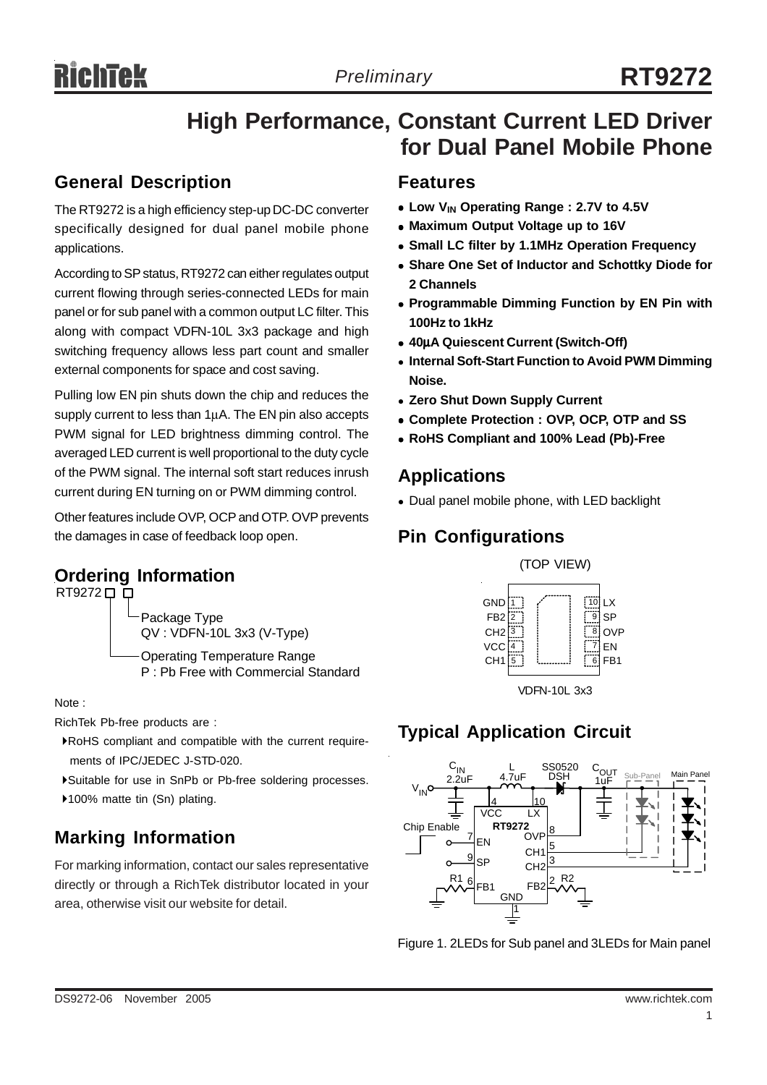## **High Performance, Constant Current LED Driver for Dual Panel Mobile Phone**

## **General Description**

The RT9272 is a high efficiency step-up DC-DC converter specifically designed for dual panel mobile phone applications.

According to SP status, RT9272 can either regulates output current flowing through series-connected LEDs for main panel or for sub panel with a common output LC filter. This along with compact VDFN-10L 3x3 package and high switching frequency allows less part count and smaller external components for space and cost saving.

Pulling low EN pin shuts down the chip and reduces the supply current to less than 1μA. The EN pin also accepts PWM signal for LED brightness dimming control. The averaged LED current is well proportional to the duty cycle of the PWM signal. The internal soft start reduces inrush current during EN turning on or PWM dimming control.

Other features include OVP, OCP and OTP. OVP prevents the damages in case of feedback loop open.

## **Ordering Information** (TOP VIEW)



Note :

RichTek Pb-free products are :

- `RoHS compliant and compatible with the current require ments of IPC/JEDEC J-STD-020.
- `Suitable for use in SnPb or Pb-free soldering processes.
- ▶100% matte tin (Sn) plating.

## **Marking Information**

For marking information, contact our sales representative directly or through a RichTek distributor located in your area, otherwise visit our website for detail.

#### **Features**

- Low V<sub>IN</sub> Operating Range : 2.7V to 4.5V
- Maximum Output Voltage up to 16V
- **Small LC filter by 1.1MHz Operation Frequency**
- $\bullet$  **Share One Set of Inductor and Schottky Diode for 2 Channels**
- **Programmable Dimming Function by EN Pin with 100Hz to 1kHz**
- <sup>z</sup> **40**μ**A Quiescent Current (Switch-Off)**
- **Internal Soft-Start Function to Avoid PWM Dimming Noise.**
- <sup>z</sup> **Zero Shut Down Supply Current**
- <sup>z</sup> **Complete Protection : OVP, OCP, OTP and SS**
- <sup>z</sup> **RoHS Compliant and 100% Lead (Pb)-Free**

#### **Applications**

• Dual panel mobile phone, with LED backlight

## **Pin Configurations**



## **Typical Application Circuit**



Figure 1. 2LEDs for Sub panel and 3LEDs for Main panel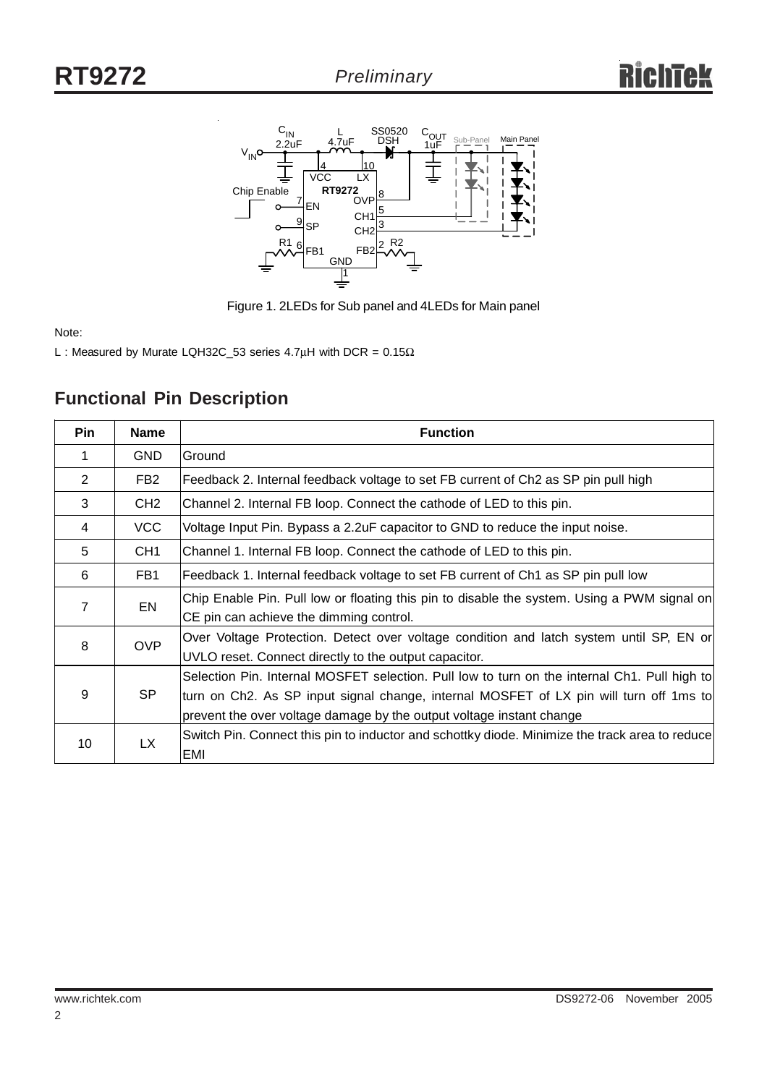



Note:

L : Measured by Murate LQH32C\_53 series 4.7μH with DCR =  $0.15\Omega$ 

| <b>Pin</b>     | <b>Name</b>     | <b>Function</b>                                                                                |
|----------------|-----------------|------------------------------------------------------------------------------------------------|
| 1              | <b>GND</b>      | Ground                                                                                         |
| 2              | FB <sub>2</sub> | Feedback 2. Internal feedback voltage to set FB current of Ch2 as SP pin pull high             |
| 3              | CH <sub>2</sub> | Channel 2. Internal FB loop. Connect the cathode of LED to this pin.                           |
| $\overline{4}$ | VCC             | Voltage Input Pin. Bypass a 2.2uF capacitor to GND to reduce the input noise.                  |
| 5              | CH <sub>1</sub> | Channel 1. Internal FB loop. Connect the cathode of LED to this pin.                           |
| 6              | FB1             | Feedback 1. Internal feedback voltage to set FB current of Ch1 as SP pin pull low              |
| $\overline{7}$ | EN              | Chip Enable Pin. Pull low or floating this pin to disable the system. Using a PWM signal on    |
|                |                 | CE pin can achieve the dimming control.                                                        |
| 8              | <b>OVP</b>      | Over Voltage Protection. Detect over voltage condition and latch system until SP, EN or        |
|                |                 | UVLO reset. Connect directly to the output capacitor.                                          |
|                | <b>SP</b>       | Selection Pin. Internal MOSFET selection. Pull low to turn on the internal Ch1. Pull high to   |
| 9              |                 | turn on Ch2. As SP input signal change, internal MOSFET of LX pin will turn off 1ms to         |
|                |                 | prevent the over voltage damage by the output voltage instant change                           |
| 10             | <b>LX</b>       | Switch Pin. Connect this pin to inductor and schottky diode. Minimize the track area to reduce |
|                |                 | EMI                                                                                            |

## **Functional Pin Description**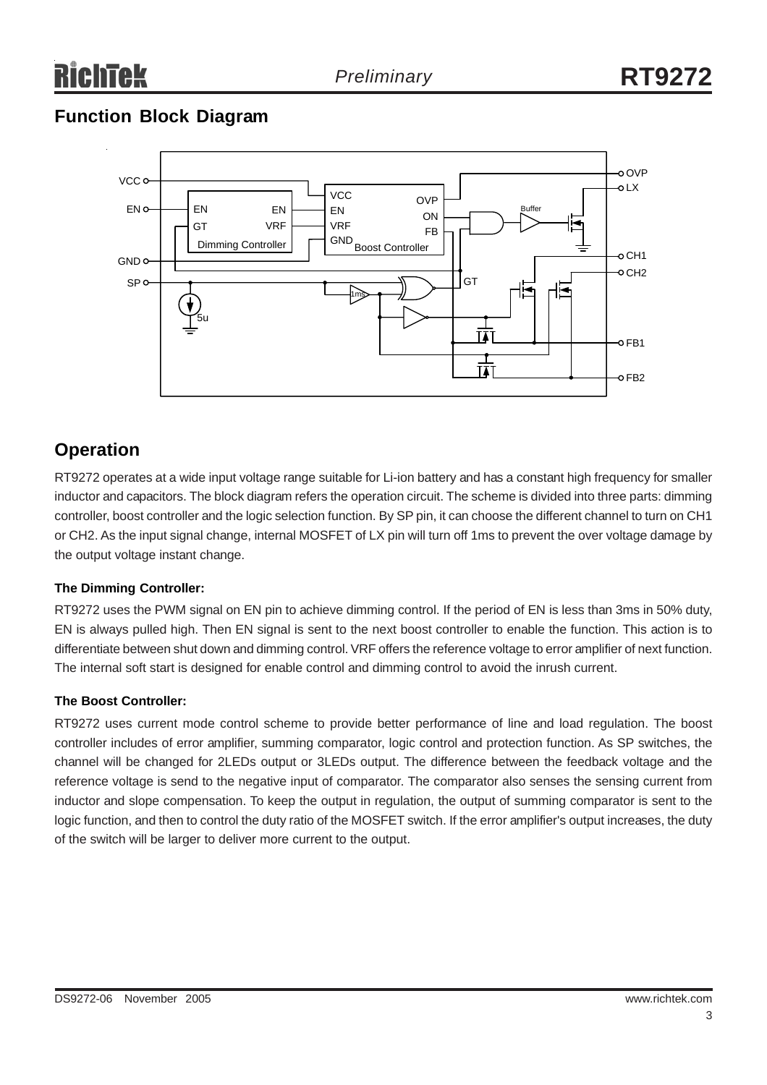## **Function Block Diagram**



## **Operation**

RT9272 operates at a wide input voltage range suitable for Li-ion battery and has a constant high frequency for smaller inductor and capacitors. The block diagram refers the operation circuit. The scheme is divided into three parts: dimming controller, boost controller and the logic selection function. By SP pin, it can choose the different channel to turn on CH1 or CH2. As the input signal change, internal MOSFET of LX pin will turn off 1ms to prevent the over voltage damage by the output voltage instant change.

#### **The Dimming Controller:**

RT9272 uses the PWM signal on EN pin to achieve dimming control. If the period of EN is less than 3ms in 50% duty, EN is always pulled high. Then EN signal is sent to the next boost controller to enable the function. This action is to differentiate between shut down and dimming control. VRF offers the reference voltage to error amplifier of next function. The internal soft start is designed for enable control and dimming control to avoid the inrush current.

#### **The Boost Controller:**

RT9272 uses current mode control scheme to provide better performance of line and load regulation. The boost controller includes of error amplifier, summing comparator, logic control and protection function. As SP switches, the channel will be changed for 2LEDs output or 3LEDs output. The difference between the feedback voltage and the reference voltage is send to the negative input of comparator. The comparator also senses the sensing current from inductor and slope compensation. To keep the output in regulation, the output of summing comparator is sent to the logic function, and then to control the duty ratio of the MOSFET switch. If the error amplifier's output increases, the duty of the switch will be larger to deliver more current to the output.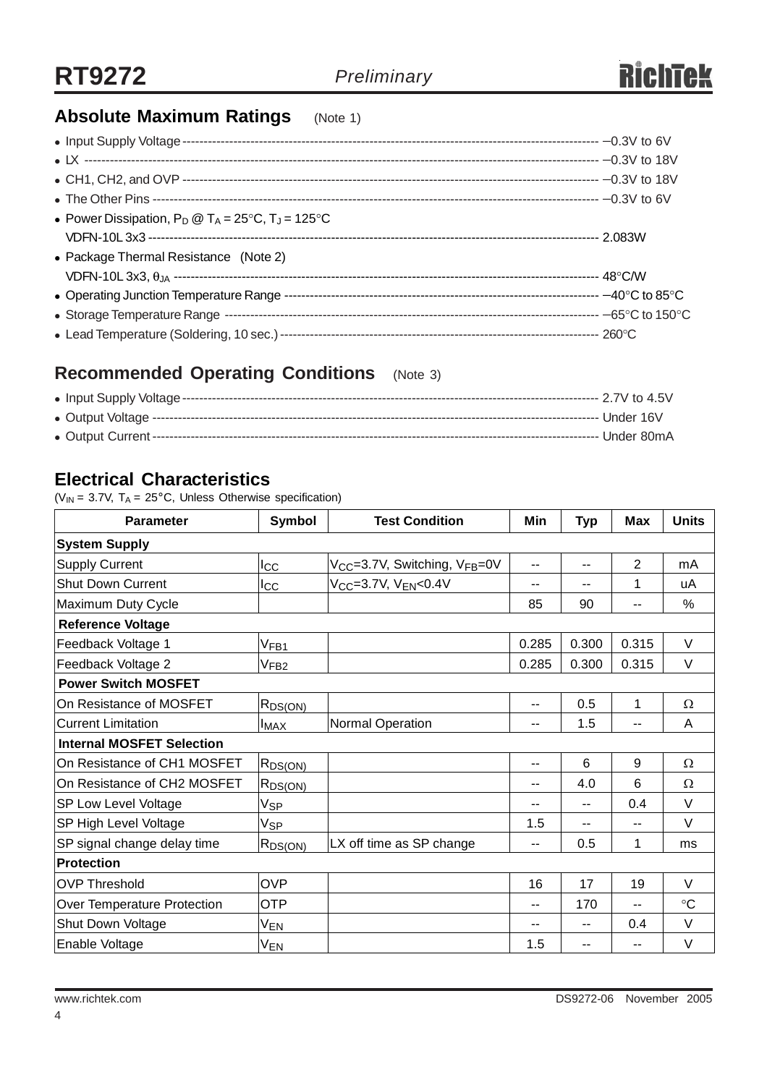## **Absolute Maximum Ratings** (Note 1)

| • Power Dissipation, $P_D @ T_A = 25^{\circ}C$ , $T_J = 125^{\circ}C$ |  |
|-----------------------------------------------------------------------|--|
|                                                                       |  |
| • Package Thermal Resistance (Note 2)                                 |  |
|                                                                       |  |
|                                                                       |  |
|                                                                       |  |
|                                                                       |  |

## **Recommended Operating Conditions** (Note 3)

## **Electrical Characteristics**

( $V_{IN}$  = 3.7V, T<sub>A</sub> = 25°C, Unless Otherwise specification)

| <b>Parameter</b>                 | Symbol           | <b>Test Condition</b>                                 | Min                      | <b>Typ</b> | <b>Max</b>               | <b>Units</b> |
|----------------------------------|------------------|-------------------------------------------------------|--------------------------|------------|--------------------------|--------------|
| <b>System Supply</b>             |                  |                                                       |                          |            |                          |              |
| <b>Supply Current</b>            | $_{\rm{lcc}}$    | V <sub>CC</sub> =3.7V, Switching, V <sub>FB</sub> =0V | $\overline{\phantom{a}}$ | --         | $\overline{2}$           | mA           |
| <b>Shut Down Current</b>         | Icc              | V <sub>CC</sub> =3.7V, V <sub>EN</sub> <0.4V          | --                       |            | 1                        | uA           |
| Maximum Duty Cycle               |                  |                                                       | 85                       | 90         | $-$                      | $\%$         |
| <b>Reference Voltage</b>         |                  |                                                       |                          |            |                          |              |
| Feedback Voltage 1               | V <sub>FB1</sub> |                                                       | 0.285                    | 0.300      | 0.315                    | V            |
| Feedback Voltage 2               | V <sub>FB2</sub> |                                                       | 0.285                    | 0.300      | 0.315                    | $\vee$       |
| <b>Power Switch MOSFET</b>       |                  |                                                       |                          |            |                          |              |
| On Resistance of MOSFET          | $R_{DS(ON)}$     |                                                       | --                       | 0.5        | 1                        | $\Omega$     |
| <b>Current Limitation</b>        | <b>I</b> MAX     | Normal Operation                                      | --                       | 1.5        |                          | A            |
| <b>Internal MOSFET Selection</b> |                  |                                                       |                          |            |                          |              |
| On Resistance of CH1 MOSFET      | $R_{DS(ON)}$     |                                                       | $-$                      | 6          | 9                        | $\Omega$     |
| On Resistance of CH2 MOSFET      | $R_{DS(ON)}$     |                                                       | --                       | 4.0        | 6                        | $\Omega$     |
| <b>SP Low Level Voltage</b>      | Vsp              |                                                       | --                       | --         | 0.4                      | $\vee$       |
| SP High Level Voltage            | Vsp              |                                                       | 1.5                      | --         | $-$                      | $\vee$       |
| SP signal change delay time      | $R_{DS(ON)}$     | LX off time as SP change                              | $\sim$ $\sim$            | 0.5        | 1                        | ms           |
| <b>Protection</b>                |                  |                                                       |                          |            |                          |              |
| <b>OVP Threshold</b>             | <b>OVP</b>       |                                                       | 16                       | 17         | 19                       | V            |
| Over Temperature Protection      | <b>OTP</b>       |                                                       | $\sim$ $\sim$            | 170        | $\overline{\phantom{a}}$ | $\circ$ C    |
| Shut Down Voltage                | V <sub>EN</sub>  |                                                       |                          |            | 0.4                      | $\vee$       |
| Enable Voltage                   | V <sub>EN</sub>  |                                                       | 1.5                      |            |                          | V            |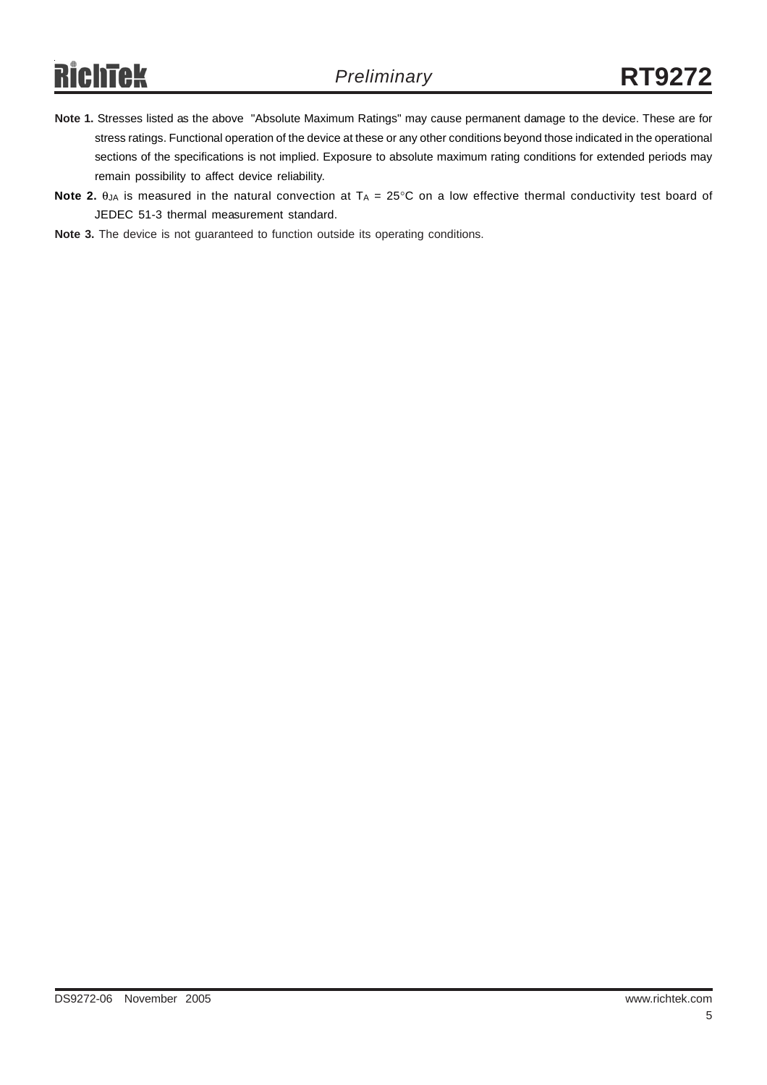# **RichTek**

- **Note 1.** Stresses listed as the above "Absolute Maximum Ratings" may cause permanent damage to the device. These are for stress ratings. Functional operation of the device at these or any other conditions beyond those indicated in the operational sections of the specifications is not implied. Exposure to absolute maximum rating conditions for extended periods may remain possibility to affect device reliability.
- **Note 2.**  $\theta_{JA}$  is measured in the natural convection at  $T_A = 25^\circ \text{C}$  on a low effective thermal conductivity test board of JEDEC 51-3 thermal measurement standard.

**Note 3.** The device is not guaranteed to function outside its operating conditions.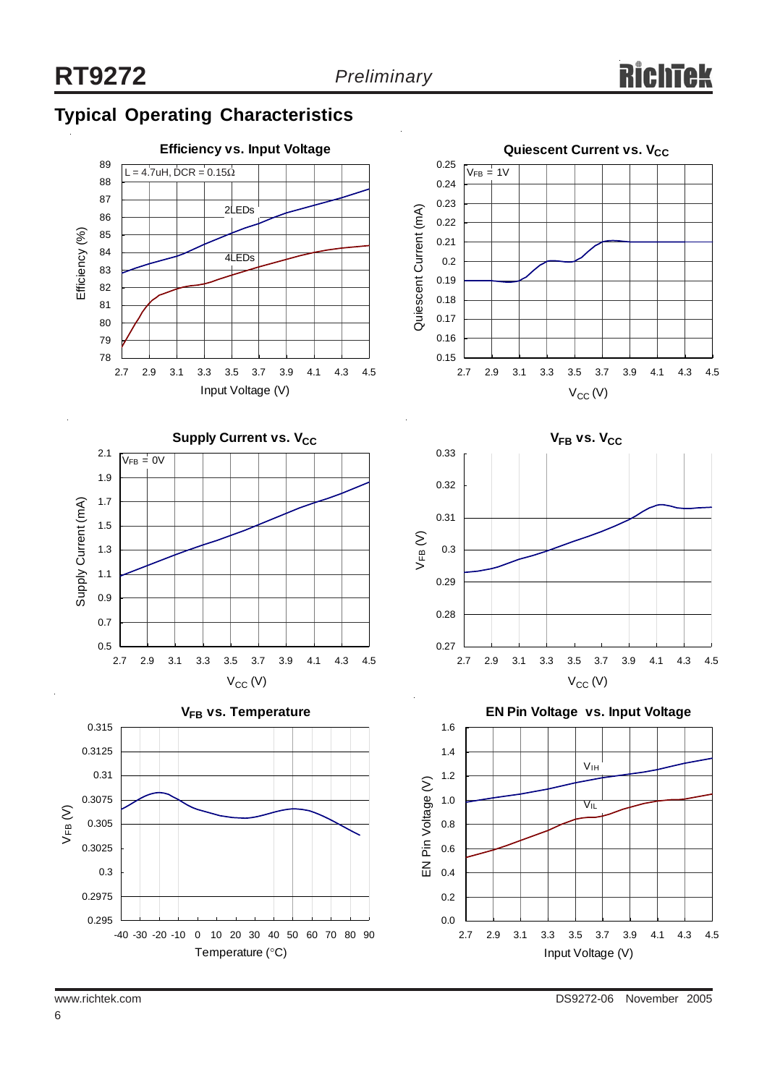## **Typical Operating Characteristics**

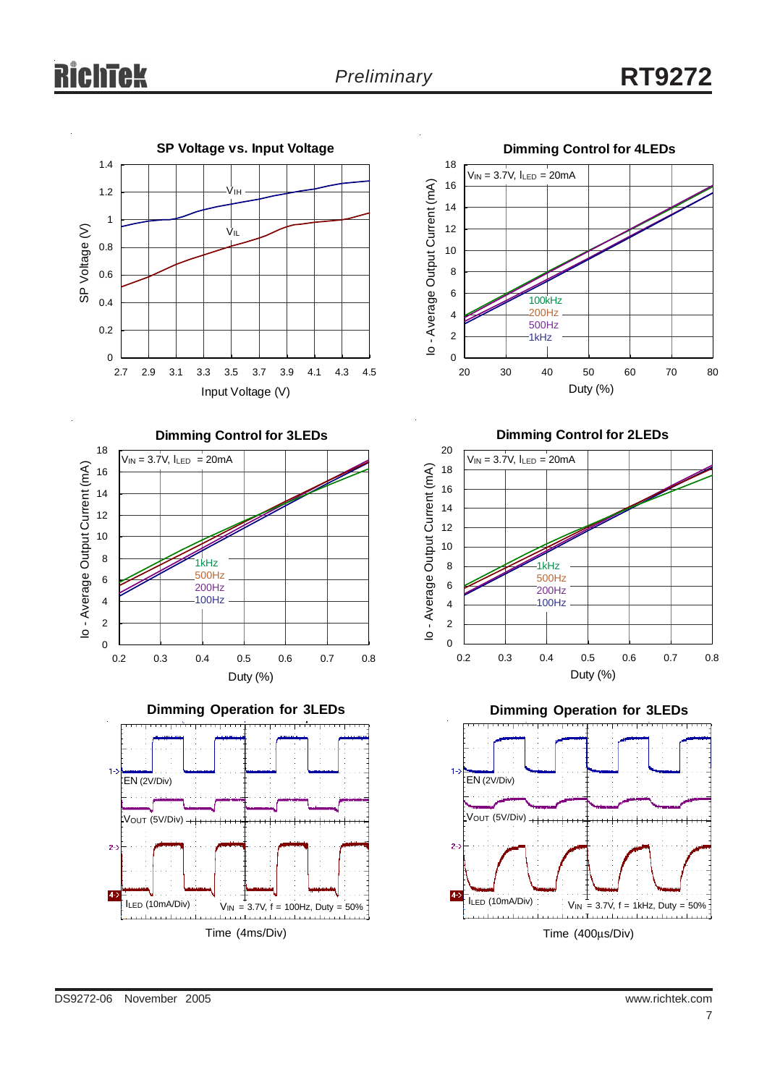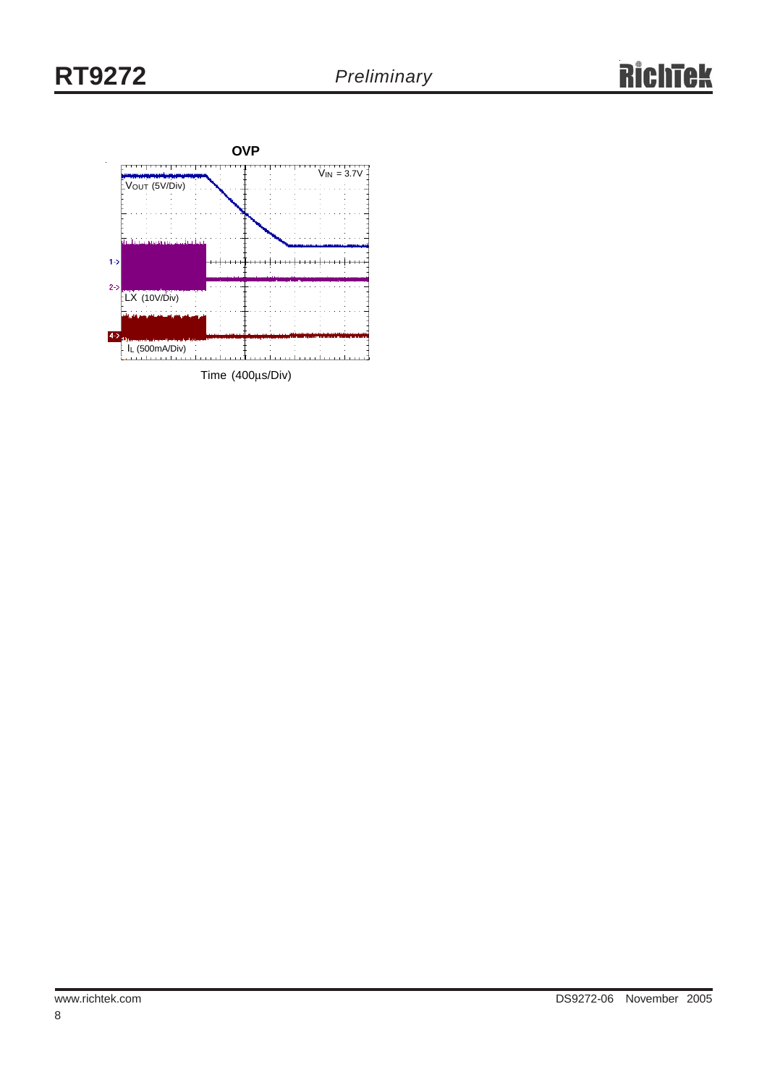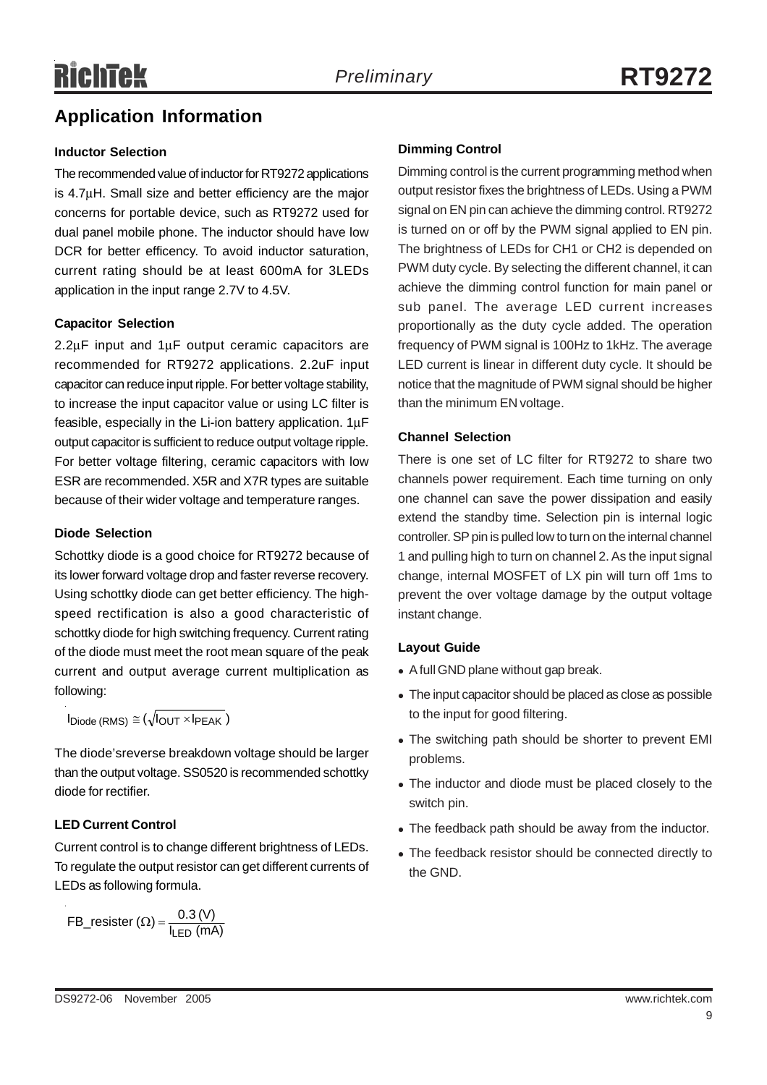## **Application Information**

#### **Inductor Selection**

The recommended value of inductor for RT9272 applications is 4.7μH. Small size and better efficiency are the major concerns for portable device, such as RT9272 used for dual panel mobile phone. The inductor should have low DCR for better efficency. To avoid inductor saturation, current rating should be at least 600mA for 3LEDs application in the input range 2.7V to 4.5V.

#### **Capacitor Selection**

2.2μF input and 1μF output ceramic capacitors are recommended for RT9272 applications. 2.2uF input capacitor can reduce input ripple. For better voltage stability, to increase the input capacitor value or using LC filter is feasible, especially in the Li-ion battery application. 1μF output capacitor is sufficient to reduce output voltage ripple. For better voltage filtering, ceramic capacitors with low ESR are recommended. X5R and X7R types are suitable because of their wider voltage and temperature ranges.

#### **Diode Selection**

Schottky diode is a good choice for RT9272 because of its lower forward voltage drop and faster reverse recovery. Using schottky diode can get better efficiency. The highspeed rectification is also a good characteristic of schottky diode for high switching frequency. Current rating of the diode must meet the root mean square of the peak current and output average current multiplication as following:

 $I_{\text{Diode}}$  (RMS)  $\cong (\sqrt{I_{\text{OUT}} \times I_{\text{PEAK}}})$ 

The diode'sreverse breakdown voltage should be larger than the output voltage. SS0520 is recommended schottky diode for rectifier.

#### **LED Current Control**

Current control is to change different brightness of LEDs. To regulate the output resistor can get different currents of LEDs as following formula.

$$
FB\_resister (\Omega) = \frac{0.3 (V)}{I_{LED} (mA)}
$$

#### **Dimming Control**

Dimming control is the current programming method when output resistor fixes the brightness of LEDs. Using a PWM signal on EN pin can achieve the dimming control. RT9272 is turned on or off by the PWM signal applied to EN pin. The brightness of LEDs for CH1 or CH2 is depended on PWM duty cycle. By selecting the different channel, it can achieve the dimming control function for main panel or sub panel. The average LED current increases proportionally as the duty cycle added. The operation frequency of PWM signal is 100Hz to 1kHz. The average LED current is linear in different duty cycle. It should be notice that the magnitude of PWM signal should be higher than the minimum EN voltage.

#### **Channel Selection**

There is one set of LC filter for RT9272 to share two channels power requirement. Each time turning on only one channel can save the power dissipation and easily extend the standby time. Selection pin is internal logic controller. SP pin is pulled low to turn on the internal channel 1 and pulling high to turn on channel 2. As the input signal change, internal MOSFET of LX pin will turn off 1ms to prevent the over voltage damage by the output voltage instant change.

#### **Layout Guide**

- A full GND plane without gap break.
- The input capacitor should be placed as close as possible to the input for good filtering.
- The switching path should be shorter to prevent EMI problems.
- The inductor and diode must be placed closely to the switch pin.
- The feedback path should be away from the inductor.
- The feedback resistor should be connected directly to the GND.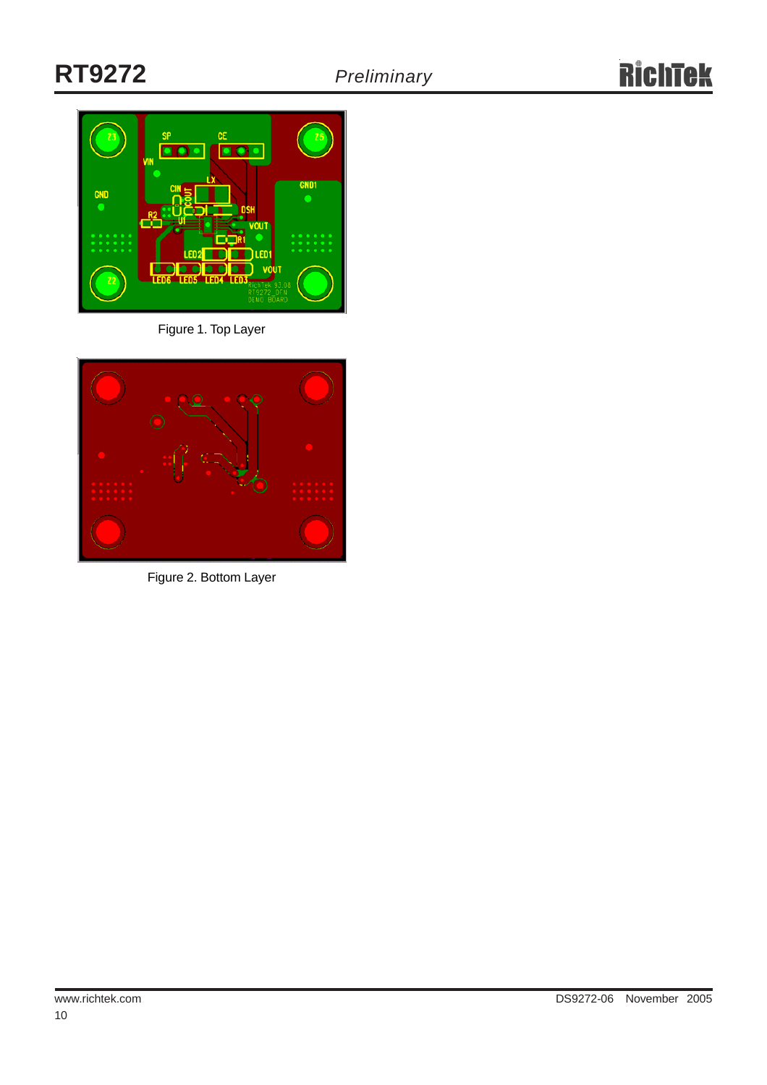

Figure 1. Top Layer



Figure 2. Bottom Layer